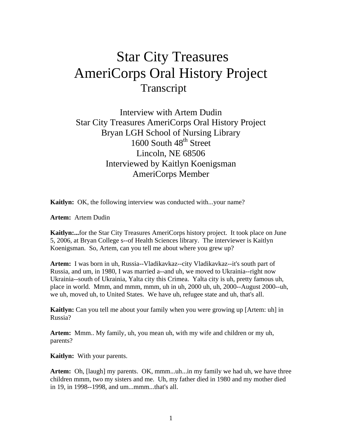# Star City Treasures AmeriCorps Oral History Project Transcript

Interview with Artem Dudin Star City Treasures AmeriCorps Oral History Project Bryan LGH School of Nursing Library 1600 South 48<sup>th</sup> Street Lincoln, NE 68506 Interviewed by Kaitlyn Koenigsman AmeriCorps Member

**Kaitlyn:** OK, the following interview was conducted with...your name?

**Artem:** Artem Dudin

**Kaitlyn:...**for the Star City Treasures AmeriCorps history project. It took place on June 5, 2006, at Bryan College s--of Health Sciences library. The interviewer is Kaitlyn Koenigsman. So, Artem, can you tell me about where you grew up?

**Artem:** I was born in uh, Russia--Vladikavkaz--city Vladikavkaz--it's south part of Russia, and um, in 1980, I was married a--and uh, we moved to Ukrainia--right now Ukrainia--south of Ukrainia, Yalta city this Crimea. Yalta city is uh, pretty famous uh, place in world. Mmm, and mmm, mmm, uh in uh, 2000 uh, uh, 2000--August 2000--uh, we uh, moved uh, to United States. We have uh, refugee state and uh, that's all.

**Kaitlyn:** Can you tell me about your family when you were growing up [Artem: uh] in Russia?

**Artem:** Mmm.. My family, uh, you mean uh, with my wife and children or my uh, parents?

**Kaitlyn:** With your parents.

**Artem:** Oh, [laugh] my parents. OK, mmm...uh...in my family we had uh, we have three children mmm, two my sisters and me. Uh, my father died in 1980 and my mother died in 19, in 1998--1998, and um...mmm...that's all.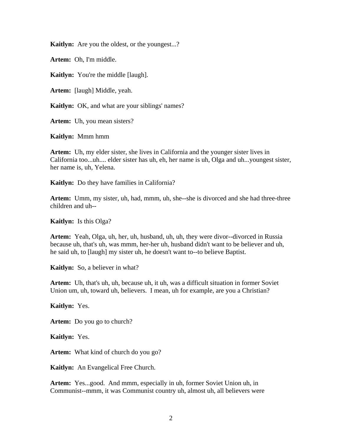**Kaitlyn:** Are you the oldest, or the youngest...?

**Artem:** Oh, I'm middle.

**Kaitlyn:** You're the middle [laugh].

**Artem:** [laugh] Middle, yeah.

**Kaitlyn:** OK, and what are your siblings' names?

**Artem:** Uh, you mean sisters?

**Kaitlyn:** Mmm hmm

**Artem:** Uh, my elder sister, she lives in California and the younger sister lives in California too...uh.... elder sister has uh, eh, her name is uh, Olga and uh...youngest sister, her name is, uh, Yelena.

**Kaitlyn:** Do they have families in California?

**Artem:** Umm, my sister, uh, had, mmm, uh, she--she is divorced and she had three-three children and uh--

**Kaitlyn:** Is this Olga?

**Artem:** Yeah, Olga, uh, her, uh, husband, uh, uh, they were divor--divorced in Russia because uh, that's uh, was mmm, her-her uh, husband didn't want to be believer and uh, he said uh, to [laugh] my sister uh, he doesn't want to--to believe Baptist.

**Kaitlyn:** So, a believer in what?

**Artem:** Uh, that's uh, uh, because uh, it uh, was a difficult situation in former Soviet Union um, uh, toward uh, believers. I mean, uh for example, are you a Christian?

**Kaitlyn:** Yes.

**Artem:** Do you go to church?

**Kaitlyn:** Yes.

**Artem:** What kind of church do you go?

**Kaitlyn:** An Evangelical Free Church.

Artem: Yes...good. And mmm, especially in uh, former Soviet Union uh, in Communist--mmm, it was Communist country uh, almost uh, all believers were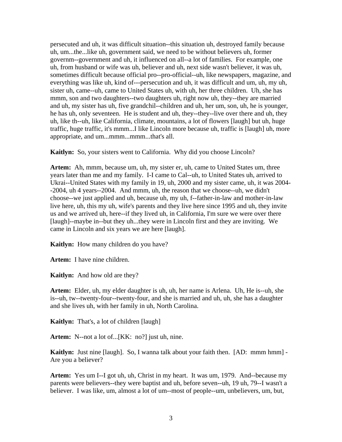persecuted and uh, it was difficult situation--this situation uh, destroyed family because uh, um...the...like uh, government said, we need to be without believers uh, former governm--government and uh, it influenced on all--a lot of families. For example, one uh, from husband or wife was uh, believer and uh, next side wasn't believer, it was uh, sometimes difficult because official pro--pro-official--uh, like newspapers, magazine, and everything was like uh, kind of---persecution and uh, it was difficult and um, uh, my uh, sister uh, came--uh, came to United States uh, with uh, her three children. Uh, she has mmm, son and two daughters--two daughters uh, right now uh, they--they are married and uh, my sister has uh, five grandchil--children and uh, her um, son, uh, he is younger, he has uh, only seventeen. He is student and uh, they--they--live over there and uh, they uh, like th--uh, like California, climate, mountains, a lot of flowers [laugh] but uh, huge traffic, huge traffic, it's mmm...I like Lincoln more because uh, traffic is [laugh] uh, more appropriate, and um...mmm...mmm...that's all.

**Kaitlyn:** So, your sisters went to California. Why did you choose Lincoln?

**Artem:** Ah, mmm, because um, uh, my sister er, uh, came to United States um, three years later than me and my family. I-I came to Cal--uh, to United States uh, arrived to Ukrai--United States with my family in 19, uh, 2000 and my sister came, uh, it was 2004- -2004, uh 4 years--2004. And mmm, uh, the reason that we choose--uh, we didn't choose--we just applied and uh, because uh, my uh, f--father-in-law and mother-in-law live here, uh, this my uh, wife's parents and they live here since 1995 and uh, they invite us and we arrived uh, here--if they lived uh, in California, I'm sure we were over there [laugh]--maybe in--but they uh...they were in Lincoln first and they are inviting. We came in Lincoln and six years we are here [laugh].

**Kaitlyn:** How many children do you have?

**Artem:** I have nine children.

**Kaitlyn:** And how old are they?

**Artem:** Elder, uh, my elder daughter is uh, uh, her name is Arlena. Uh, He is--uh, she is--uh, tw--twenty-four--twenty-four, and she is married and uh, uh, she has a daughter and she lives uh, with her family in uh, North Carolina.

**Kaitlyn:** That's, a lot of children [laugh]

Artem: N--not a lot of...[KK: no?] just uh, nine.

**Kaitlyn:** Just nine [laugh]. So, I wanna talk about your faith then. [AD: mmm hmm] - Are you a believer?

**Artem:** Yes um I--I got uh, uh, Christ in my heart. It was um, 1979. And--because my parents were believers--they were baptist and uh, before seven--uh, 19 uh, 79--I wasn't a believer. I was like, um, almost a lot of um--most of people--um, unbelievers, um, but,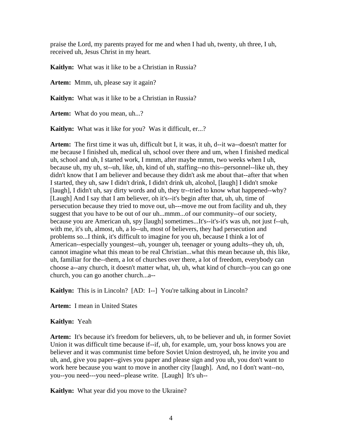praise the Lord, my parents prayed for me and when I had uh, twenty, uh three, I uh, received uh, Jesus Christ in my heart.

**Kaitlyn:** What was it like to be a Christian in Russia?

**Artem:** Mmm, uh, please say it again?

**Kaitlyn:** What was it like to be a Christian in Russia?

Artem: What do you mean, uh...?

**Kaitlyn:** What was it like for you? Was it difficult, er...?

**Artem:** The first time it was uh, difficult but I, it was, it uh, d--it wa--doesn't matter for me because I finished uh, medical uh, school over there and um, when I finished medical uh, school and uh, I started work, I mmm, after maybe mmm, two weeks when I uh, because uh, my uh, st--uh, like, uh, kind of uh, staffing--no this--personnel--like uh, they didn't know that I am believer and because they didn't ask me about that--after that when I started, they uh, saw I didn't drink, I didn't drink uh, alcohol, [laugh] I didn't smoke [laugh], I didn't uh, say dirty words and uh, they tr--tried to know what happened--why? [Laugh] And I say that I am believer, oh it's--it's begin after that, uh, uh, time of persecution because they tried to move out, uh---move me out from facility and uh, they suggest that you have to be out of our uh...mmm...of our community--of our society, because you are American uh, spy [laugh] sometimes...It's--it's-it's was uh, not just f--uh, with me, it's uh, almost, uh, a lo--uh, most of believers, they had persecution and problems so...I think, it's difficult to imagine for you uh, because I think a lot of American--especially youngest--uh, younger uh, teenager or young adults--they uh, uh, cannot imagine what this mean to be real Christian...what this mean because uh, this like, uh, familiar for the--them, a lot of churches over there, a lot of freedom, everybody can choose a--any church, it doesn't matter what, uh, uh, what kind of church--you can go one church, you can go another church...a--

**Kaitlyn:** This is in Lincoln? [AD: I--] You're talking about in Lincoln?

**Artem:** I mean in United States

#### **Kaitlyn:** Yeah

**Artem:** It's because it's freedom for believers, uh, to be believer and uh, in former Soviet Union it was difficult time because if--if, uh, for example, um, your boss knows you are believer and it was communist time before Soviet Union destroyed, uh, he invite you and uh, and, give you paper--gives you paper and please sign and you uh, you don't want to work here because you want to move in another city [laugh]. And, no I don't want--no, you--you need---you need--please write. [Laugh] It's uh--

**Kaitlyn:** What year did you move to the Ukraine?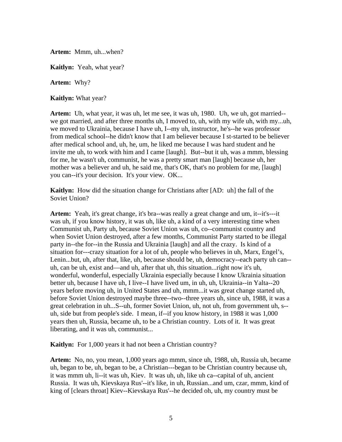**Artem:** Mmm, uh...when?

**Kaitlyn:** Yeah, what year?

**Artem:** Why?

**Kaitlyn:** What year?

**Artem:** Uh, what year, it was uh, let me see, it was uh, 1980. Uh, we uh, got married- we got married, and after three months uh, I moved to, uh, with my wife uh, with my...uh, we moved to Ukrainia, because I have uh, I--my uh, instructor, he's--he was professor from medical school--he didn't know that I am believer because I st-started to be believer after medical school and, uh, he, um, he liked me because I was hard student and he invite me uh, to work with him and I came [laugh]. But--but it uh, was a mmm, blessing for me, he wasn't uh, communist, he was a pretty smart man [laugh] because uh, her mother was a believer and uh, he said me, that's OK, that's no problem for me, [laugh] you can--it's your decision. It's your view. OK...

**Kaitlyn:** How did the situation change for Christians after [AD: uh] the fall of the Soviet Union?

**Artem:** Yeah, it's great change, it's bra--was really a great change and um, it--it's---it was uh, if you know history, it was uh, like uh, a kind of a very interesting time when Communist uh, Party uh, because Soviet Union was uh, co--communist country and when Soviet Union destroyed, after a few months, Communist Party started to be illegal party in--the for--in the Russia and Ukrainia [laugh] and all the crazy. Is kind of a situation for---crazy situation for a lot of uh, people who believes in uh, Marx, Engel's, Lenin...but, uh, after that, like, uh, because should be, uh, democracy--each party uh can- uh, can be uh, exist and—and uh, after that uh, this situation...right now it's uh, wonderful, wonderful, especially Ukrainia especially because I know Ukrainia situation better uh, because I have uh, I live--I have lived um, in uh, uh, Ukrainia--in Yalta--20 years before moving uh, in United States and uh, mmm...it was great change started uh, before Soviet Union destroyed maybe three--two--three years uh, since uh, 1988, it was a great celebration in uh...S--uh, former Soviet Union, uh, not uh, from government uh, s- uh, side but from people's side. I mean, if--if you know history, in 1988 it was 1,000 years then uh, Russia, became uh, to be a Christian country. Lots of it. It was great liberating, and it was uh, communist...

**Kaitlyn:** For 1,000 years it had not been a Christian country?

**Artem:** No, no, you mean, 1,000 years ago mmm, since uh, 1988, uh, Russia uh, became uh, began to be, uh, began to be, a Christian---began to be Christian country because uh, it was mmm uh, li--it was uh, Kiev. It was uh, uh, like uh ca--capital of uh, ancient Russia. It was uh, Kievskaya Rus'--it's like, in uh, Russian...and um, czar, mmm, kind of king of [clears throat] Kiev--Kievskaya Rus'--he decided oh, uh, my country must be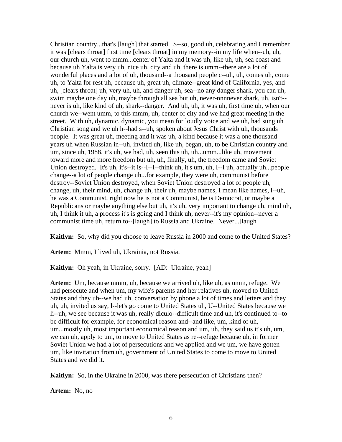Christian country...that's [laugh] that started. S--so, good uh, celebrating and I remember it was [clears throat] first time [clears throat] in my memory--in my life when--uh, uh, our church uh, went to mmm...center of Yalta and it was uh, like uh, uh, sea coast and because uh Yalta is very uh, nice uh, city and uh, there is umm--there are a lot of wonderful places and a lot of uh, thousand--a thousand people c--uh, uh, comes uh, come uh, to Yalta for rest uh, because uh, great uh, climate--great kind of California, yes, and uh, [clears throat] uh, very uh, uh, and danger uh, sea--no any danger shark, you can uh, swim maybe one day uh, maybe through all sea but uh, never-nnnnever shark, uh, isn't- never is uh, like kind of uh, shark--danger. And uh, uh, it was uh, first time uh, when our church we--went umm, to this mmm, uh, center of city and we had great meeting in the street. With uh, dynamic, dynamic, you mean for loudly voice and we uh, had sung uh Christian song and we uh h--had s--uh, spoken about Jesus Christ with uh, thousands people. It was great uh, meeting and it was uh, a kind because it was a one thousand years uh when Russian in--uh, invited uh, like uh, began, uh, to be Christian country and um, since uh, 1988, it's uh, we had, uh, seen this uh, uh...umm...like uh, movement toward more and more freedom but uh, uh, finally, uh, the freedom came and Soviet Union destroyed. It's uh, it's--it is--I--I--think uh, it's um, uh, I--I uh, actually uh...people change--a lot of people change uh...for example, they were uh, communist before destroy--Soviet Union destroyed, when Soviet Union destroyed a lot of people uh, change, uh, their mind, uh, change uh, their uh, maybe names, I mean like names, l--uh, he was a Communist, right now he is not a Communist, he is Democrat, or maybe a Republicans or maybe anything else but uh, it's uh, very important to change uh, mind uh, uh, I think it uh, a process it's is going and I think uh, never--it's my opinion--never a communist time uh, return to--[laugh] to Russia and Ukraine. Never...[laugh]

**Kaitlyn:** So, why did you choose to leave Russia in 2000 and come to the United States?

**Artem:** Mmm, I lived uh, Ukrainia, not Russia.

**Kaitlyn:** Oh yeah, in Ukraine, sorry. [AD: Ukraine, yeah]

**Artem:** Um, because mmm, uh, because we arrived uh, like uh, as umm, refuge. We had persecute and when um, my wife's parents and her relatives uh, moved to United States and they uh--we had uh, conversation by phone a lot of times and letters and they uh, uh, invited us say, l--let's go come to United States uh, U--United States because we li--uh, we see because it was uh, really diculo--difficult time and uh, it's continued to--to be difficult for example, for economical reason and--and like, um, kind of uh, um...mostly uh, most important economical reason and um, uh, they said us it's uh, um, we can uh, apply to um, to move to United States as re--refuge because uh, in former Soviet Union we had a lot of persecutions and we applied and we um, we have gotten um, like invitation from uh, government of United States to come to move to United States and we did it.

**Kaitlyn:** So, in the Ukraine in 2000, was there persecution of Christians then?

**Artem:** No, no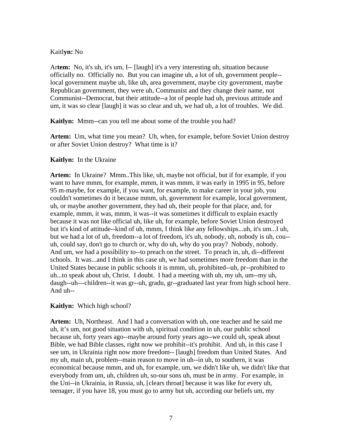#### Kaitl**yn:** No

Ar**tem:** No, it's uh, it's um, I-- [laugh] it's a very interesting uh, situation because officially no. Officially no. But you can imagine uh, a lot of uh, government people- local government maybe uh, like uh, area government, maybe city government, maybe Republican government, they were uh, Communist and they change their name, not Communist--Democrat, but their attitude--a lot of people had uh, previous attitude and um, it was so clear [laugh] it was so clear and uh, we had uh, a lot of troubles. We did.

**Kaitlyn:** Mmm--can you tell me about some of the trouble you had?

**Artem:** Um, what time you mean? Uh, when, for example, before Soviet Union destroy or after Soviet Union destroy? What time is it?

### **Kaitlyn:** In the Ukraine

**Artem:** In Ukraine? Mmm..This like, uh, maybe not official, but if for example, if you want to have mmm, for example, mmm, it was mmm, it was early in 1995 in 95, before 95 m-maybe, for example, if you want, for example, to make career in your job, you couldn't sometimes do it because mmm, uh, government for example, local government, uh, or maybe another government, they had uh, their people for that place, and, for example, mmm, it was, mmm, it was--it was sometimes it difficult to explain exactly because it was not like official uh, like uh, for example, before Soviet Union destroyed but it's kind of attitude--kind of uh, mmm, I think like any fellowships...uh, it's um...I uh, but we had a lot of uh, freedom--a lot of freedom, it's uh, nobody, uh, nobody is uh, cou- uh, could say, don't go to church or, why do uh, why do you pray? Nobody, nobody. And um, we had a possibility to--to preach on the street. To preach in, uh, di--different schools. It was...and I think in this case uh, we had sometimes more freedom than in the United States because in public schools it is mmm, uh, prohibited--uh, pr--prohibited to uh...to speak about uh, Christ. I doubt. I had a meeting with uh, my uh, um--my uh, daugh--uh---children--it was gr--uh, gradu, gr--graduated last year from high school here. And uh--

## **Kaitlyn:** Which high school?

**Artem:** Uh, Northeast. And I had a conversation with uh, one teacher and he said me uh, it's um, not good situation with uh, spiritual condition in uh, our public school because uh, forty years ago--maybe around forty years ago--we could uh, speak about Bible, we had Bible classes, right now we prohibit--it's prohibit. And uh, in this case I see um, in Ukrainia right now more freedom-- [laugh] freedom than United States. And my uh, main uh, problem--main reason to move in uh--in uh, to southern, it was economical because mmm, and uh, for example, um, we didn't like uh, we didn't like that everybody from um, uh, children uh, so-our sons uh, must be in army. For example, in the Uni--in Ukrainia, in Russia, uh, [clears throat] because it was like for every uh, teenager, if you have 18, you must go to army but uh, according our beliefs um, my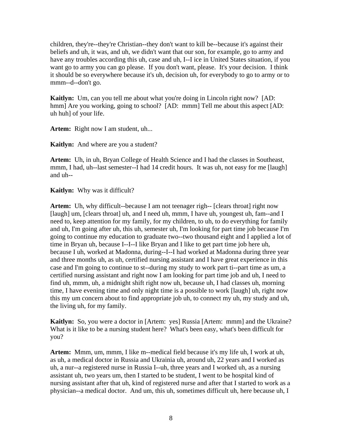children, they're--they're Christian--they don't want to kill be--because it's against their beliefs and uh, it was, and uh, we didn't want that our son, for example, go to army and have any troubles according this uh, case and uh, I--I ice in United States situation, if you want go to army you can go please. If you don't want, please. It's your decision. I think it should be so everywhere because it's uh, decision uh, for everybody to go to army or to mmm--d--don't go.

**Kaitlyn:** Um, can you tell me about what you're doing in Lincoln right now? [AD: hmm] Are you working, going to school? [AD: mmm] Tell me about this aspect [AD: uh huh] of your life.

Artem: Right now I am student, uh...

**Kaitlyn:** And where are you a student?

**Artem:** Uh, in uh, Bryan College of Health Science and I had the classes in Southeast, mmm, I had, uh--last semester--I had 14 credit hours. It was uh, not easy for me [laugh] and uh--

**Kaitlyn:** Why was it difficult?

**Artem:** Uh, why difficult--because I am not teenager righ-- [clears throat] right now [laugh] um, [clears throat] uh, and I need uh, mmm, I have uh, youngest uh, fam--and I need to, keep attention for my family, for my children, to uh, to do everything for family and uh, I'm going after uh, this uh, semester uh, I'm looking for part time job because I'm going to continue my education to graduate two--two thousand eight and I applied a lot of time in Bryan uh, because I--I--I like Bryan and I like to get part time job here uh, because I uh, worked at Madonna, during--I--I had worked at Madonna during three year and three months uh, as uh, certified nursing assistant and I have great experience in this case and I'm going to continue to st--during my study to work part ti--part time as um, a certified nursing assistant and right now I am looking for part time job and uh, I need to find uh, mmm, uh, a midnight shift right now uh, because uh, I had classes uh, morning time, I have evening time and only night time is a possible to work [laugh] uh, right now this my um concern about to find appropriate job uh, to connect my uh, my study and uh, the living uh, for my family.

**Kaitlyn:** So, you were a doctor in [Artem: yes] Russia [Artem: mmm] and the Ukraine? What is it like to be a nursing student here? What's been easy, what's been difficult for you?

**Artem:** Mmm, um, mmm, I like m--medical field because it's my life uh, I work at uh, as uh, a medical doctor in Russia and Ukrainia uh, around uh, 22 years and I worked as uh, a nur--a registered nurse in Russia I--uh, three years and I worked uh, as a nursing assistant uh, two years um, then I started to be student, I went to be hospital kind of nursing assistant after that uh, kind of registered nurse and after that I started to work as a physician--a medical doctor. And um, this uh, sometimes difficult uh, here because uh, I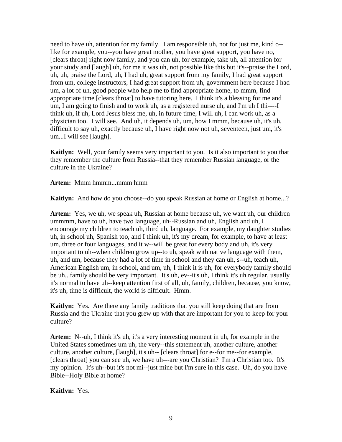need to have uh, attention for my family. I am responsible uh, not for just me, kind o- like for example, you--you have great mother, you have great support, you have no, [clears throat] right now family, and you can uh, for example, take uh, all attention for your study and [laugh] uh, for me it was uh, not possible like this but it's--praise the Lord, uh, uh, praise the Lord, uh, I had uh, great support from my family, I had great support from um, college instructors, I had great support from uh, government here because I had um, a lot of uh, good people who help me to find appropriate home, to mmm, find appropriate time [clears throat] to have tutoring here. I think it's a blessing for me and um, I am going to finish and to work uh, as a registered nurse uh, and I'm uh I thi----I think uh, if uh, Lord Jesus bless me, uh, in future time, I will uh, I can work uh, as a physician too. I will see. And uh, it depends uh, um, how I mmm, because uh, it's uh, difficult to say uh, exactly because uh, I have right now not uh, seventeen, just um, it's um...I will see [laugh].

**Kaitlyn:** Well, your family seems very important to you. Is it also important to you that they remember the culture from Russia--that they remember Russian language, or the culture in the Ukraine?

**Artem:** Mmm hmmm...mmm hmm

**Kaitlyn:** And how do you choose--do you speak Russian at home or English at home...?

**Artem:** Yes, we uh, we speak uh, Russian at home because uh, we want uh, our children ummmm, have to uh, have two language, uh--Russian and uh, English and uh, I encourage my children to teach uh, third uh, language. For example, my daughter studies uh, in school uh, Spanish too, and I think uh, it's my dream, for example, to have at least um, three or four languages, and it w--will be great for every body and uh, it's very important to uh--when children grow up--to uh, speak with native language with them, uh, and um, because they had a lot of time in school and they can uh, s--uh, teach uh, American English um, in school, and um, uh, I think it is uh, for everybody family should be uh...family should be very important. It's uh, ev--it's uh, I think it's uh regular, usually it's normal to have uh--keep attention first of all, uh, family, children, because, you know, it's uh, time is difficult, the world is difficult. Hmm.

**Kaitlyn:** Yes. Are there any family traditions that you still keep doing that are from Russia and the Ukraine that you grew up with that are important for you to keep for your culture?

**Artem:** N--uh, I think it's uh, it's a very interesting moment in uh, for example in the United States sometimes um uh, the very--this statement uh, another culture, another culture, another culture, [laugh], it's uh-- [clears throat] for e--for me--for example, [clears throat] you can see uh, we have uh---are you Christian? I'm a Christian too. It's my opinion. It's uh--but it's not mi--just mine but I'm sure in this case. Uh, do you have Bible--Holy Bible at home?

**Kaitlyn:** Yes.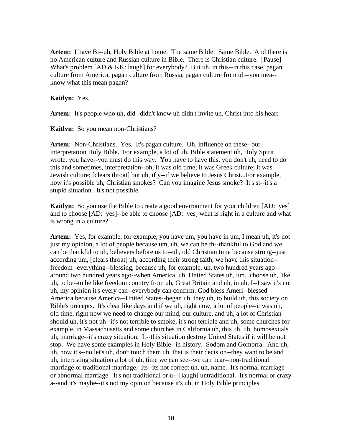**Artem:** I have Bi--uh, Holy Bible at home. The same Bible. Same Bible. And there is no American culture and Russian culture in Bible. There is Christian culture. [Pause] What's problem [AD & KK: laugh] for everybody? But uh, in this--in this case, pagan culture from America, pagan culture from Russia, pagan culture from uh--you mea- know what this mean pagan?

**Kaitlyn:** Yes.

**Artem:** It's people who uh, did--didn't know uh didn't invite uh, Christ into his heart.

**Kaitlyn:** So you mean non-Christians?

**Artem:** Non-Christians. Yes. It's pagan culture. Uh, influence on these--our interpretation Holy Bible. For example, a lot of uh, Bible statement uh, Holy Spirit wrote, you have--you must do this way. You have to have this, you don't uh, need to do this and sometimes, interpretation--oh, it was old time; it was Greek culture; it was Jewish culture; [clears throat] but uh, if y--if we believe to Jesus Christ...For example, how it's possible uh, Christian smokes? Can you imagine Jesus smoke? It's st--it's a stupid situation. It's not possible.

**Kaitlyn:** So you use the Bible to create a good environment for your children [AD: yes] and to choose [AD: yes]--be able to choose [AD: yes] what is right in a culture and what is wrong in a culture?

**Artem:** Yes, for example, for example, you have um, you have in um, I mean uh, it's not just my opinion, a lot of people because um, uh, we can be th--thankful to God and we can be thankful to uh, believers before us to--uh, old Christian time because strong--just according um, [clears throat] uh, according their strong faith, we have this situation- freedom--everything--blessing, because uh, for example, uh, two hundred years ago- around two hundred years ago--when America, uh, United States uh, um...choose uh, like uh, to be--to be like freedom country from uh, Great Britain and uh, in uh, I--I saw it's not uh, my opinion it's every can--everybody can confirm, God bless Ameri--blessed America because America--United States--began uh, they uh, to build uh, this society on Bible's precepts. It's clear like days and if we uh, right now, a lot of people--it was uh, old time, right now we need to change our mind, our culture, and uh, a lot of Christian should uh, it's not uh--it's not terrible to smoke, it's not terrible and uh, some churches for example, in Massachusetts and some churches in California uh, this uh, uh, homosexuals uh, marriage--it's crazy situation. It--this situation destroy United States if it will be not stop. We have some examples in Holy Bible--in history. Sodom and Gomorra. And uh, uh, now it's--no let's uh, don't touch them uh, that is their decision--they want to be and uh, interesting situation a lot of uh, time we can see--we can hear--non-traditional marriage or traditional marriage. Its--its not correct uh, uh, name. It's normal marriage or abnormal marriage. It's not traditional or u-- [laugh] untraditional. It's normal or crazy a--and it's maybe--it's not my opinion because it's uh, in Holy Bible principles.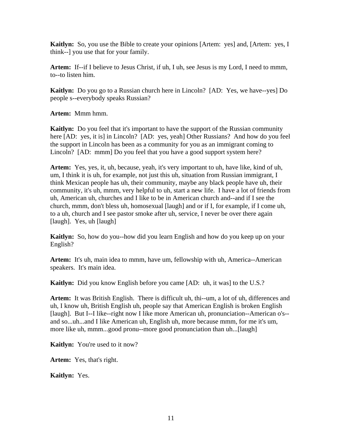**Kaitlyn:** So, you use the Bible to create your opinions [Artem: yes] and, [Artem: yes, I think--] you use that for your family.

**Artem:** If--if I believe to Jesus Christ, if uh, I uh, see Jesus is my Lord, I need to mmm, to--to listen him.

**Kaitlyn:** Do you go to a Russian church here in Lincoln? [AD: Yes, we have--yes] Do people s--everybody speaks Russian?

**Artem:** Mmm hmm.

**Kaitlyn:** Do you feel that it's important to have the support of the Russian community here [AD: yes, it is] in Lincoln? [AD: yes, yeah] Other Russians? And how do you feel the support in Lincoln has been as a community for you as an immigrant coming to Lincoln? [AD: mmm] Do you feel that you have a good support system here?

**Artem:** Yes, yes, it, uh, because, yeah, it's very important to uh, have like, kind of uh, um, I think it is uh, for example, not just this uh, situation from Russian immigrant, I think Mexican people has uh, their community, maybe any black people have uh, their community, it's uh, mmm, very helpful to uh, start a new life. I have a lot of friends from uh, American uh, churches and I like to be in American church and--and if I see the church, mmm, don't bless uh, homosexual [laugh] and or if I, for example, if I come uh, to a uh, church and I see pastor smoke after uh, service, I never be over there again [laugh]. Yes, uh [laugh]

**Kaitlyn:** So, how do you--how did you learn English and how do you keep up on your English?

**Artem:** It's uh, main idea to mmm, have um, fellowship with uh, America--American speakers. It's main idea.

**Kaitlyn:** Did you know English before you came [AD: uh, it was] to the U.S.?

**Artem:** It was British English. There is difficult uh, thi--um, a lot of uh, differences and uh, I know uh, British English uh, people say that American English is broken English [laugh]. But I--I like--right now I like more American uh, pronunciation--American o's- and so...uh...and I like American uh, English uh, more because mmm, for me it's um, more like uh, mmm...good pronu--more good pronunciation than uh...[laugh]

**Kaitlyn:** You're used to it now?

**Artem:** Yes, that's right.

**Kaitlyn:** Yes.